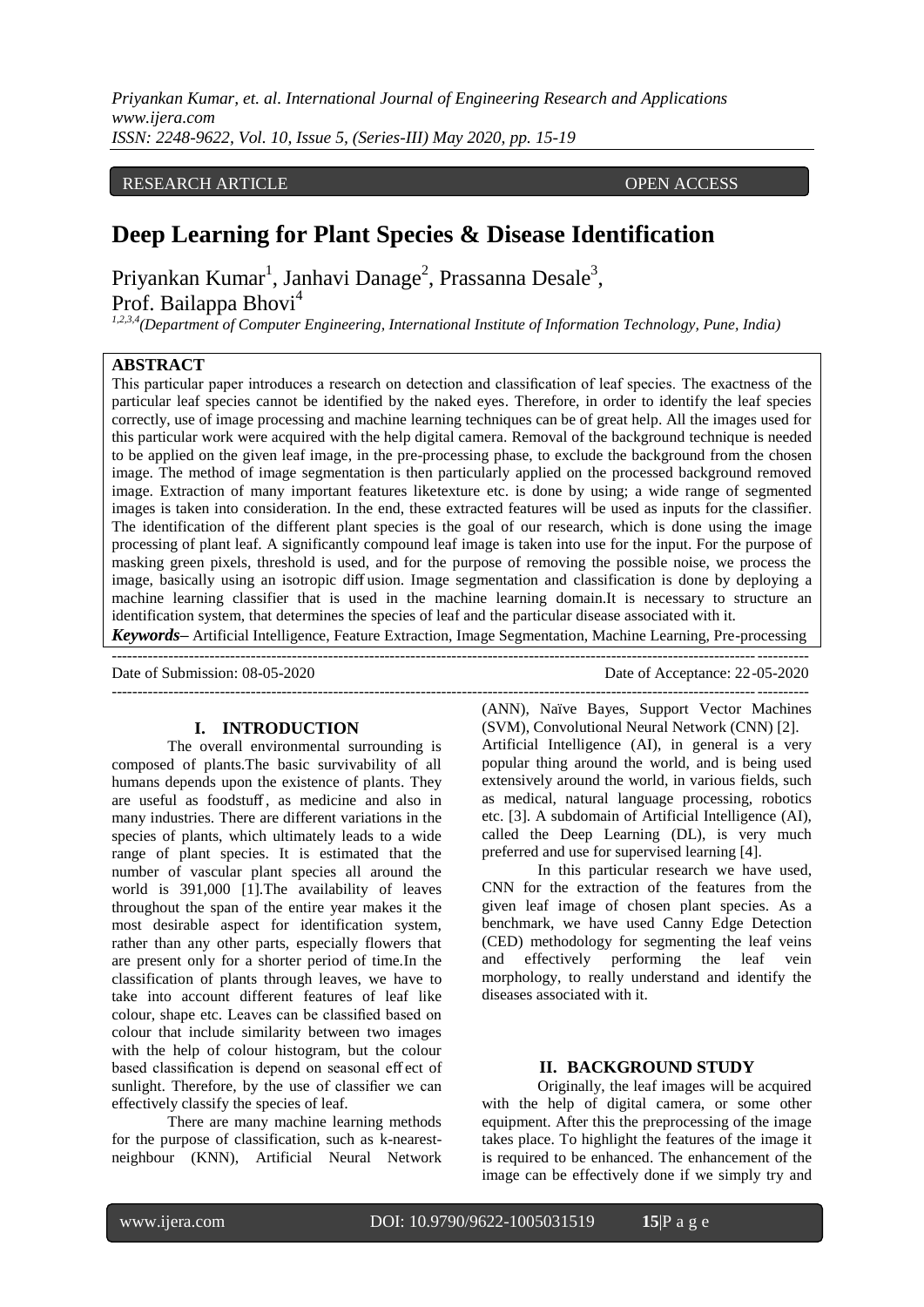*Priyankan Kumar, et. al. International Journal of Engineering Research and Applications www.ijera.com ISSN: 2248-9622, Vol. 10, Issue 5, (Series-III) May 2020, pp. 15-19*

## RESEARCH ARTICLE **CONTRACT ARTICLE** AND LOTEN ACCESS OPEN ACCESS

# **Deep Learning for Plant Species & Disease Identification**

Priyankan Kumar<sup>1</sup>, Janhavi Danage<sup>2</sup>, Prassanna Desale<sup>3</sup>,

Prof. Bailappa Bhovi<sup>4</sup>

*1,2,3,4(Department of Computer Engineering, International Institute of Information Technology, Pune, India)* 

## **ABSTRACT**

This particular paper introduces a research on detection and classification of leaf species. The exactness of the particular leaf species cannot be identified by the naked eyes. Therefore, in order to identify the leaf species correctly, use of image processing and machine learning techniques can be of great help. All the images used for this particular work were acquired with the help digital camera. Removal of the background technique is needed to be applied on the given leaf image, in the pre-processing phase, to exclude the background from the chosen image. The method of image segmentation is then particularly applied on the processed background removed image. Extraction of many important features liketexture etc. is done by using; a wide range of segmented images is taken into consideration. In the end, these extracted features will be used as inputs for the classifier. The identification of the different plant species is the goal of our research, which is done using the image processing of plant leaf. A significantly compound leaf image is taken into use for the input. For the purpose of masking green pixels, threshold is used, and for the purpose of removing the possible noise, we process the image, basically using an isotropic diff usion. Image segmentation and classification is done by deploying a machine learning classifier that is used in the machine learning domain.It is necessary to structure an identification system, that determines the species of leaf and the particular disease associated with it.

*Keywords***–** Artificial Intelligence, Feature Extraction, Image Segmentation, Machine Learning, Pre-processing ---------------------------------------------------------------------------------------------------------------------------------------

---------------------------------------------------------------------------------------------------------------------------------------

Date of Submission: 08-05-2020 Date of Acceptance: 22-05-2020

## **I. INTRODUCTION**

The overall environmental surrounding is composed of plants.The basic survivability of all humans depends upon the existence of plants. They are useful as foodstuff , as medicine and also in many industries. There are different variations in the species of plants, which ultimately leads to a wide range of plant species. It is estimated that the number of vascular plant species all around the world is 391,000 [1].The availability of leaves throughout the span of the entire year makes it the most desirable aspect for identification system, rather than any other parts, especially flowers that are present only for a shorter period of time.In the classification of plants through leaves, we have to take into account different features of leaf like colour, shape etc. Leaves can be classified based on colour that include similarity between two images with the help of colour histogram, but the colour based classification is depend on seasonal eff ect of sunlight. Therefore, by the use of classifier we can effectively classify the species of leaf.

There are many machine learning methods for the purpose of classification, such as k-nearestneighbour (KNN), Artificial Neural Network

(ANN), Naïve Bayes, Support Vector Machines (SVM), Convolutional Neural Network (CNN) [2]. Artificial Intelligence (AI), in general is a very popular thing around the world, and is being used extensively around the world, in various fields, such as medical, natural language processing, robotics etc. [3]. A subdomain of Artificial Intelligence (AI), called the Deep Learning (DL), is very much preferred and use for supervised learning [4].

In this particular research we have used, CNN for the extraction of the features from the given leaf image of chosen plant species. As a benchmark, we have used Canny Edge Detection (CED) methodology for segmenting the leaf veins and effectively performing the leaf vein morphology, to really understand and identify the diseases associated with it.

## **II. BACKGROUND STUDY**

Originally, the leaf images will be acquired with the help of digital camera, or some other equipment. After this the preprocessing of the image takes place. To highlight the features of the image it is required to be enhanced. The enhancement of the image can be effectively done if we simply try and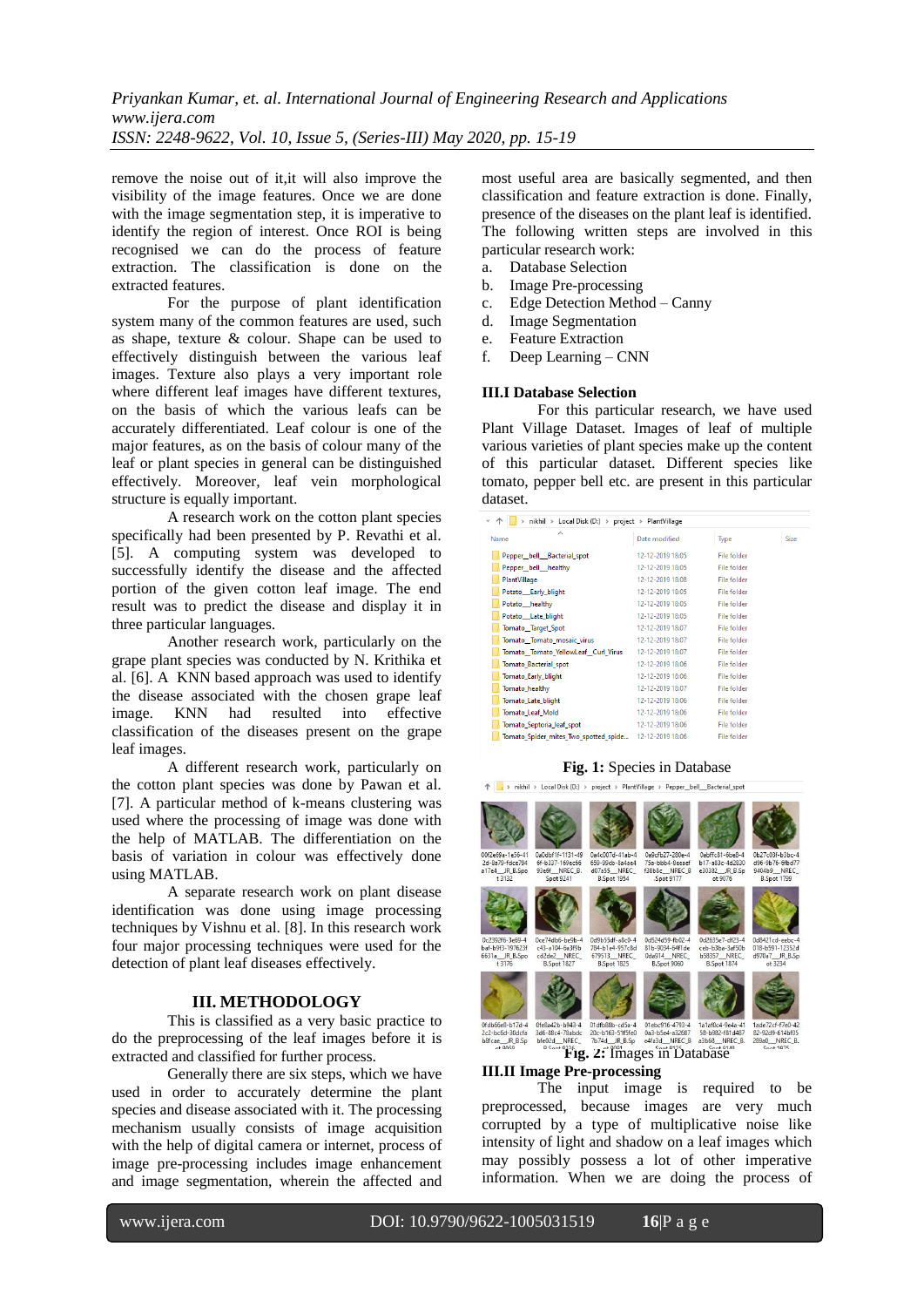remove the noise out of it,it will also improve the visibility of the image features. Once we are done with the image segmentation step, it is imperative to identify the region of interest. Once ROI is being recognised we can do the process of feature extraction. The classification is done on the extracted features.

For the purpose of plant identification system many of the common features are used, such as shape, texture & colour. Shape can be used to effectively distinguish between the various leaf images. Texture also plays a very important role where different leaf images have different textures, on the basis of which the various leafs can be accurately differentiated. Leaf colour is one of the major features, as on the basis of colour many of the leaf or plant species in general can be distinguished effectively. Moreover, leaf vein morphological structure is equally important.

A research work on the cotton plant species specifically had been presented by P. Revathi et al. [5]. A computing system was developed to successfully identify the disease and the affected portion of the given cotton leaf image. The end result was to predict the disease and display it in three particular languages.

Another research work, particularly on the grape plant species was conducted by N. Krithika et al. [6]. A KNN based approach was used to identify the disease associated with the chosen grape leaf image. KNN had resulted into effective classification of the diseases present on the grape leaf images.

A different research work, particularly on the cotton plant species was done by Pawan et al. [7]. A particular method of k-means clustering was used where the processing of image was done with the help of MATLAB. The differentiation on the basis of variation in colour was effectively done using MATLAB.

A separate research work on plant disease identification was done using image processing techniques by Vishnu et al. [8]. In this research work four major processing techniques were used for the detection of plant leaf diseases effectively.

## **III. METHODOLOGY**

This is classified as a very basic practice to do the preprocessing of the leaf images before it is extracted and classified for further process.

Generally there are six steps, which we have used in order to accurately determine the plant species and disease associated with it. The processing mechanism usually consists of image acquisition with the help of digital camera or internet, process of image pre-processing includes image enhancement and image segmentation, wherein the affected and

most useful area are basically segmented, and then classification and feature extraction is done. Finally, presence of the diseases on the plant leaf is identified. The following written steps are involved in this particular research work:

- a. Database Selection
- b. Image Pre-processing
- c. Edge Detection Method Canny
- d. Image Segmentation
- e. Feature Extraction
- f. Deep Learning CNN

#### **III.I Database Selection**

For this particular research, we have used Plant Village Dataset. Images of leaf of multiple various varieties of plant species make up the content of this particular dataset. Different species like tomato, pepper bell etc. are present in this particular dataset.

| nikhil > Local Disk (D:) > project > PlantVillage |                  |                    |      |
|---------------------------------------------------|------------------|--------------------|------|
| ́<br>Name                                         | Date modified    | Type               | Size |
| Pepper bell Bacterial spot                        | 12-12-2019 18:05 | File folder        |      |
| Pepper_bell_healthy                               | 12-12-2019 18:05 | <b>File folder</b> |      |
| PlantVillage                                      | 12-12-2019 18:08 | File folder        |      |
| Potato_Early_blight                               | 12-12-2019 18:05 | File folder        |      |
| Potato_healthy                                    | 12-12-2019 18:05 | File folder        |      |
| Potato_Late_blight                                | 12-12-2019 18:05 | <b>File folder</b> |      |
| Tomato Target Spot                                | 12-12-2019 18:07 | File folder        |      |
| Tomato Tomato mosaic virus                        | 12-12-2019 18:07 | File folder        |      |
| Tomato_Tomato_YellowLeaf_Curl_Virus               | 12-12-2019 18:07 | <b>File folder</b> |      |
| Tomato_Bacterial_spot                             | 12-12-2019 18:06 | File folder        |      |
| Tomato Early blight                               | 12-12-2019 18:06 | File folder        |      |
| Tomato_healthy                                    | 12-12-2019 18:07 | File folder        |      |
| Tomato_Late_blight                                | 12-12-2019 18:06 | <b>File folder</b> |      |
| Tomato Leaf Mold                                  | 12-12-2019 18:06 | File folder        |      |
| Tomato_Septoria_leaf_spot                         | 12-12-2019 18:06 | File folder        |      |
| Tomato_Spider_mites_Two_spotted_spide             | 12-12-2019 18:06 | <b>File folder</b> |      |

#### **Fig. 1:** Species in Database



#### **III.II Image Pre-processing**

The input image is required to be preprocessed, because images are very much corrupted by a type of multiplicative noise like intensity of light and shadow on a leaf images which may possibly possess a lot of other imperative information. When we are doing the process of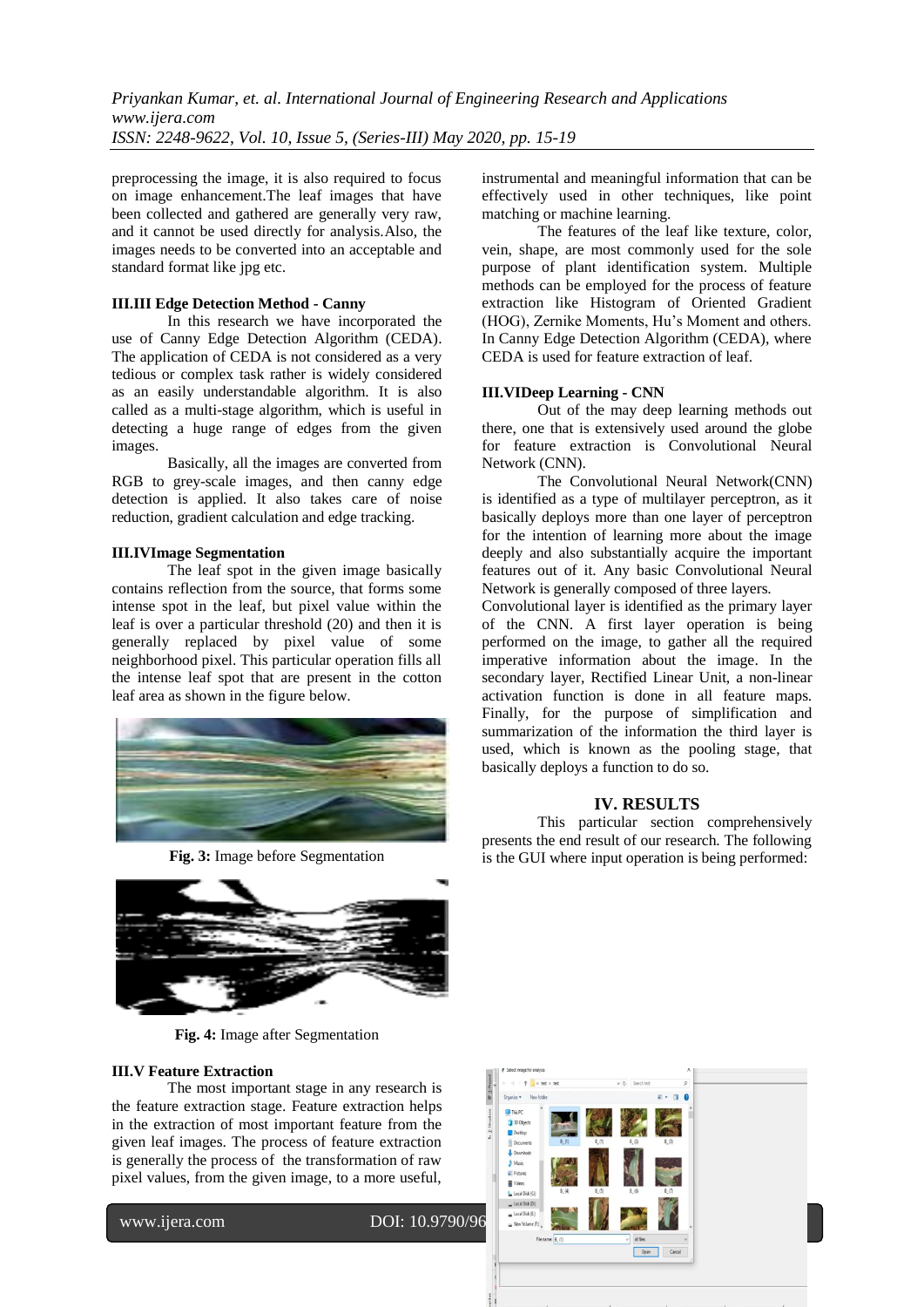preprocessing the image, it is also required to focus on image enhancement.The leaf images that have been collected and gathered are generally very raw, and it cannot be used directly for analysis.Also, the images needs to be converted into an acceptable and standard format like jpg etc.

#### **III.III Edge Detection Method - Canny**

In this research we have incorporated the use of Canny Edge Detection Algorithm (CEDA). The application of CEDA is not considered as a very tedious or complex task rather is widely considered as an easily understandable algorithm. It is also called as a multi-stage algorithm, which is useful in detecting a huge range of edges from the given images.

Basically, all the images are converted from RGB to grey-scale images, and then canny edge detection is applied. It also takes care of noise reduction, gradient calculation and edge tracking.

#### **III.IVImage Segmentation**

The leaf spot in the given image basically contains reflection from the source, that forms some intense spot in the leaf, but pixel value within the leaf is over a particular threshold (20) and then it is generally replaced by pixel value of some neighborhood pixel. This particular operation fills all the intense leaf spot that are present in the cotton leaf area as shown in the figure below.



**Fig. 3:** Image before Segmentation



**Fig. 4:** Image after Segmentation

#### **III.V Feature Extraction**

The most important stage in any research is the feature extraction stage. Feature extraction helps in the extraction of most important feature from the given leaf images. The process of feature extraction is generally the process of the transformation of raw pixel values, from the given image, to a more useful,

www.ijera.com DOI: 10.9790/96

instrumental and meaningful information that can be effectively used in other techniques, like point matching or machine learning.

The features of the leaf like texture, color, vein, shape, are most commonly used for the sole purpose of plant identification system. Multiple methods can be employed for the process of feature extraction like Histogram of Oriented Gradient (HOG), Zernike Moments, Hu's Moment and others. In Canny Edge Detection Algorithm (CEDA), where CEDA is used for feature extraction of leaf.

## **III.VIDeep Learning - CNN**

Out of the may deep learning methods out there, one that is extensively used around the globe for feature extraction is Convolutional Neural Network (CNN).

The Convolutional Neural Network(CNN) is identified as a type of multilayer perceptron, as it basically deploys more than one layer of perceptron for the intention of learning more about the image deeply and also substantially acquire the important features out of it. Any basic Convolutional Neural Network is generally composed of three layers.

Convolutional layer is identified as the primary layer of the CNN. A first layer operation is being performed on the image, to gather all the required imperative information about the image. In the secondary layer, Rectified Linear Unit, a non-linear activation function is done in all feature maps. Finally, for the purpose of simplification and summarization of the information the third layer is used, which is known as the pooling stage, that basically deploys a function to do so.

## **IV. RESULTS**

This particular section comprehensively presents the end result of our research. The following is the GUI where input operation is being performed:

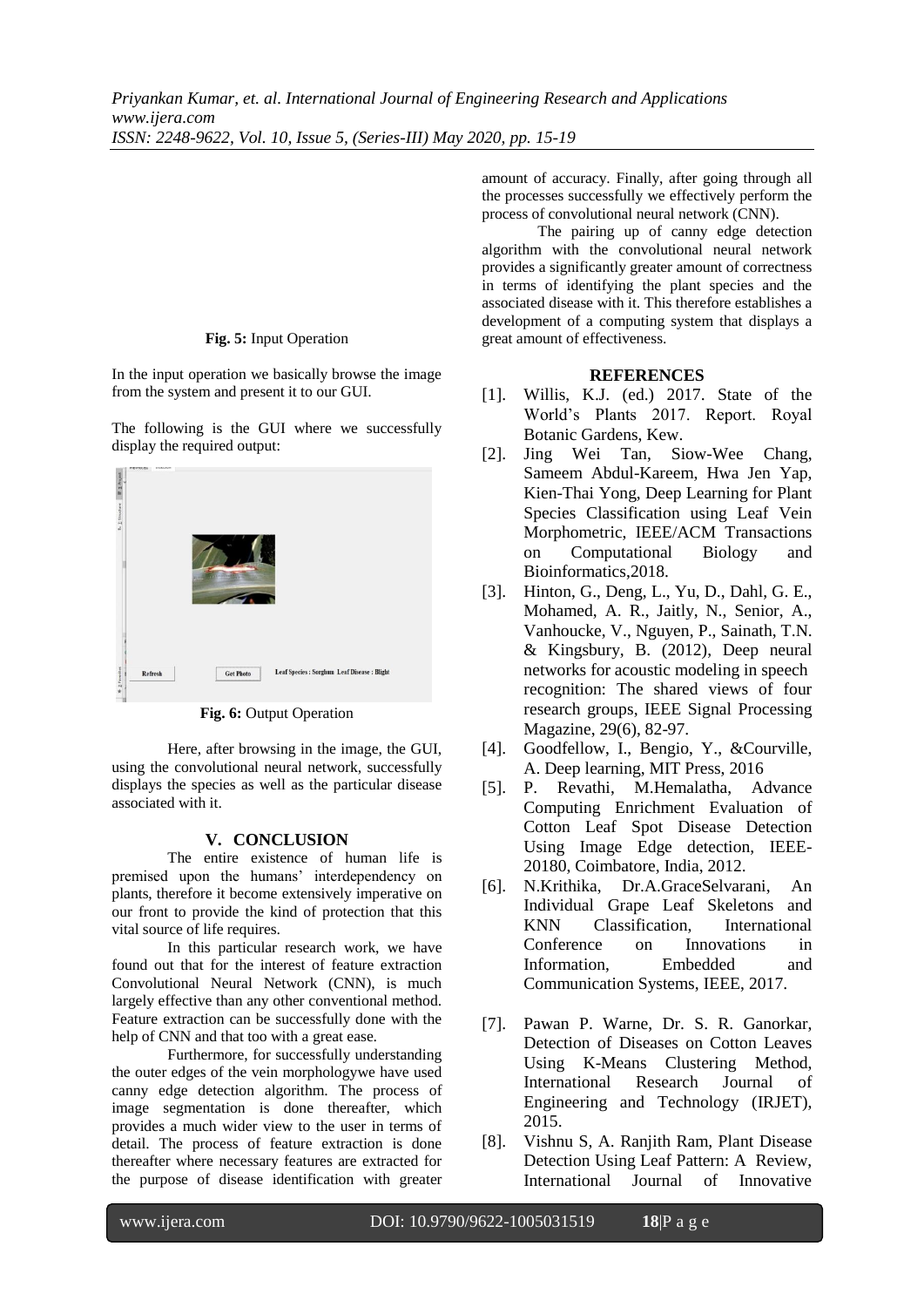#### **Fig. 5:** Input Operation

In the input operation we basically browse the image from the system and present it to our GUI.

The following is the GUI where we successfully display the required output:



**Fig. 6:** Output Operation

Here, after browsing in the image, the GUI, using the convolutional neural network, successfully displays the species as well as the particular disease associated with it.

## **V. CONCLUSION**

The entire existence of human life is premised upon the humans' interdependency on plants, therefore it become extensively imperative on our front to provide the kind of protection that this vital source of life requires.

In this particular research work, we have found out that for the interest of feature extraction Convolutional Neural Network (CNN), is much largely effective than any other conventional method. Feature extraction can be successfully done with the help of CNN and that too with a great ease.

Furthermore, for successfully understanding the outer edges of the vein morphologywe have used canny edge detection algorithm. The process of image segmentation is done thereafter, which provides a much wider view to the user in terms of detail. The process of feature extraction is done thereafter where necessary features are extracted for the purpose of disease identification with greater

amount of accuracy. Finally, after going through all the processes successfully we effectively perform the process of convolutional neural network (CNN).

The pairing up of canny edge detection algorithm with the convolutional neural network provides a significantly greater amount of correctness in terms of identifying the plant species and the associated disease with it. This therefore establishes a development of a computing system that displays a great amount of effectiveness.

## **REFERENCES**

- [1]. Willis, K.J. (ed.) 2017. State of the World's Plants 2017. Report. Royal Botanic Gardens, Kew.
- [2]. Jing Wei Tan, Siow-Wee Chang, Sameem Abdul-Kareem, Hwa Jen Yap, Kien-Thai Yong, Deep Learning for Plant Species Classification using Leaf Vein Morphometric, IEEE/ACM Transactions on Computational Biology and Bioinformatics,2018.
- [3]. Hinton, G., Deng, L., Yu, D., Dahl, G. E., Mohamed, A. R., Jaitly, N., Senior, A., Vanhoucke, V., Nguyen, P., Sainath, T.N. & Kingsbury, B. (2012), Deep neural networks for acoustic modeling in speech recognition: The shared views of four research groups, IEEE Signal Processing Magazine, 29(6), 82-97.
- [4]. Goodfellow, I., Bengio, Y., &Courville, A. Deep learning, MIT Press, 2016
- [5]. P. Revathi, M.Hemalatha, Advance Computing Enrichment Evaluation of Cotton Leaf Spot Disease Detection Using Image Edge detection, IEEE-20180, Coimbatore, India, 2012.
- [6]. N.Krithika, Dr.A.GraceSelvarani, An Individual Grape Leaf Skeletons and KNN Classification, International Conference on Innovations in Information, Embedded and Communication Systems, IEEE, 2017.
- [7]. Pawan P. Warne, Dr. S. R. Ganorkar, Detection of Diseases on Cotton Leaves Using K-Means Clustering Method, International Research Journal of Engineering and Technology (IRJET), 2015.
- [8]. Vishnu S, A. Ranjith Ram, Plant Disease Detection Using Leaf Pattern: A Review, International Journal of Innovative